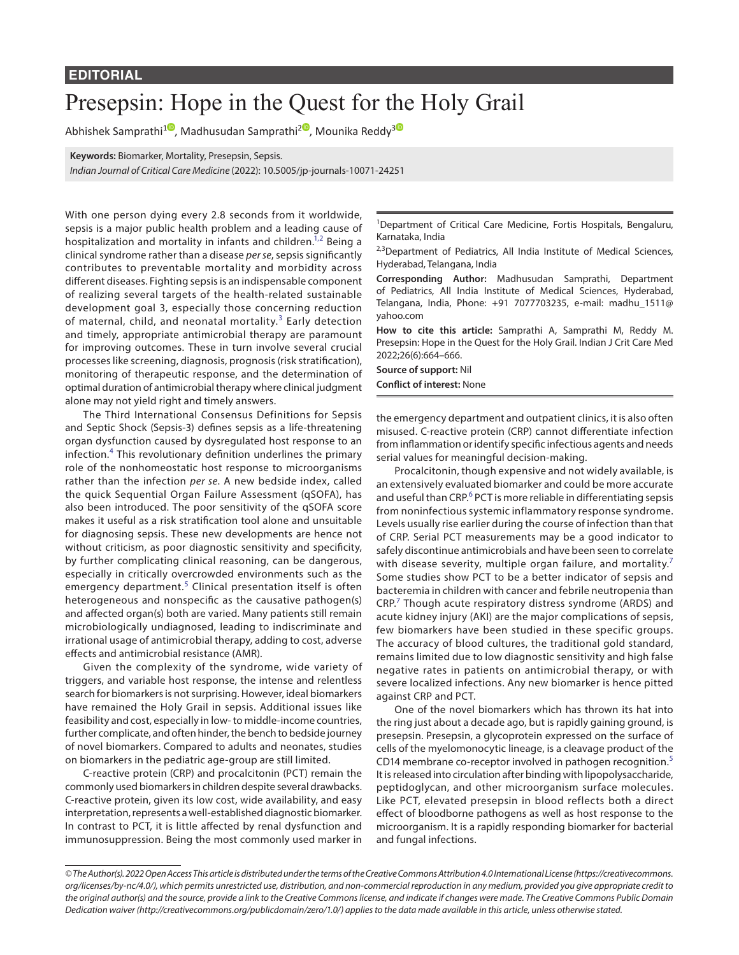## Presepsin: Hope in the Quest for the Holy Grail

Abhishek Samprathi<sup>10</sup>[,](https://orcid.org/0000-0001-8525-2482) Madhusudan Samprathi<sup>[2](https://orcid.org/0000-0003-4473-2177)0</sup>, Mounika Reddy<sup>[3](https://orcid.org/0000-0003-2270-022X)0</sup>

**Keywords:** Biomarker, Mortality, Presepsin, Sepsis.

*Indian Journal of Critical Care Medicine* (2022): 10.5005/jp-journals-10071-24251

With one person dying every 2.8 seconds from it worldwide, sepsis is a major public health problem and a leading cause of hospitalization and mortality in infants and children.<sup>1,[2](#page-1-1)</sup> Being a clinical syndrome rather than a disease *per se*, sepsis significantly contributes to preventable mortality and morbidity across different diseases. Fighting sepsis is an indispensable component of realizing several targets of the health-related sustainable development goal 3, especially those concerning reduction of maternal, child, and neonatal mortality.<sup>[3](#page-1-2)</sup> Early detection and timely, appropriate antimicrobial therapy are paramount for improving outcomes. These in turn involve several crucial processes like screening, diagnosis, prognosis (risk stratification), monitoring of therapeutic response, and the determination of optimal duration of antimicrobial therapy where clinical judgment alone may not yield right and timely answers.

The Third International Consensus Definitions for Sepsis and Septic Shock (Sepsis-3) defines sepsis as a life-threatening organ dysfunction caused by dysregulated host response to an infection.[4](#page-1-3) This revolutionary definition underlines the primary role of the nonhomeostatic host response to microorganisms rather than the infection *per se*. A new bedside index, called the quick Sequential Organ Failure Assessment (qSOFA), has also been introduced. The poor sensitivity of the qSOFA score makes it useful as a risk stratification tool alone and unsuitable for diagnosing sepsis. These new developments are hence not without criticism, as poor diagnostic sensitivity and specificity, by further complicating clinical reasoning, can be dangerous, especially in critically overcrowded environments such as the emergency department.<sup>[5](#page-1-4)</sup> Clinical presentation itself is often heterogeneous and nonspecific as the causative pathogen(s) and affected organ(s) both are varied. Many patients still remain microbiologically undiagnosed, leading to indiscriminate and irrational usage of antimicrobial therapy, adding to cost, adverse effects and antimicrobial resistance (AMR).

Given the complexity of the syndrome, wide variety of triggers, and variable host response, the intense and relentless search for biomarkers is not surprising. However, ideal biomarkers have remained the Holy Grail in sepsis. Additional issues like feasibility and cost, especially in low- to middle-income countries, further complicate, and often hinder, the bench to bedside journey of novel biomarkers. Compared to adults and neonates, studies on biomarkers in the pediatric age-group are still limited.

C-reactive protein (CRP) and procalcitonin (PCT) remain the commonly used biomarkers in children despite several drawbacks. C-reactive protein, given its low cost, wide availability, and easy interpretation, represents a well-established diagnostic biomarker. In contrast to PCT, it is little affected by renal dysfunction and immunosuppression. Being the most commonly used marker in

<sup>1</sup>Department of Critical Care Medicine, Fortis Hospitals, Bengaluru, Karnataka, India

<sup>2,3</sup>Department of Pediatrics, All India Institute of Medical Sciences, Hyderabad, Telangana, India

**Corresponding Author:** Madhusudan Samprathi, Department of Pediatrics, All India Institute of Medical Sciences, Hyderabad, Telangana, India, Phone: +91 7077703235, e-mail: madhu\_1511@ yahoo.com

**How to cite this article:** Samprathi A, Samprathi M, Reddy M. Presepsin: Hope in the Quest for the Holy Grail. Indian J Crit Care Med 2022;26(6):664–666.

**Source of support:** Nil **Conflict of interest:** None

the emergency department and outpatient clinics, it is also often misused. C-reactive protein (CRP) cannot differentiate infection from inflammation or identify specific infectious agents and needs serial values for meaningful decision-making.

Procalcitonin, though expensive and not widely available, is an extensively evaluated biomarker and could be more accurate and useful than CRP.<sup>[6](#page-1-5)</sup> PCT is more reliable in differentiating sepsis from noninfectious systemic inflammatory response syndrome. Levels usually rise earlier during the course of infection than that of CRP. Serial PCT measurements may be a good indicator to safely discontinue antimicrobials and have been seen to correlate with disease severity, multiple organ failure, and mortality.<sup>[7](#page-1-6)</sup> Some studies show PCT to be a better indicator of sepsis and bacteremia in children with cancer and febrile neutropenia than CRP.<sup>[7](#page-1-6)</sup> Though acute respiratory distress syndrome (ARDS) and acute kidney injury (AKI) are the major complications of sepsis, few biomarkers have been studied in these specific groups. The accuracy of blood cultures, the traditional gold standard, remains limited due to low diagnostic sensitivity and high false negative rates in patients on antimicrobial therapy, or with severe localized infections. Any new biomarker is hence pitted against CRP and PCT.

One of the novel biomarkers which has thrown its hat into the ring just about a decade ago, but is rapidly gaining ground, is presepsin. Presepsin, a glycoprotein expressed on the surface of cells of the myelomonocytic lineage, is a cleavage product of the CD14 membrane co-receptor involved in pathogen recognition.<sup>[5](#page-1-4)</sup> It is released into circulation after binding with lipopolysaccharide, peptidoglycan, and other microorganism surface molecules. Like PCT, elevated presepsin in blood reflects both a direct effect of bloodborne pathogens as well as host response to the microorganism. It is a rapidly responding biomarker for bacterial and fungal infections.

*<sup>©</sup> The Author(s). 2022 Open Access This article is distributed under the terms of the Creative Commons Attribution 4.0 International License ([https://creativecommons.](https://creativecommons.org/licenses/by-nc/4.0/) [org/licenses/by-nc/4.0/](https://creativecommons.org/licenses/by-nc/4.0/)), which permits unrestricted use, distribution, and non-commercial reproduction in any medium, provided you give appropriate credit to the original author(s) and the source, provide a link to the Creative Commons license, and indicate if changes were made. The Creative Commons Public Domain Dedication waiver ([http://creativecommons.org/publicdomain/zero/1.0/\)](http://creativecommons.org/publicdomain/zero/1.0/) applies to the data made available in this article, unless otherwise stated.*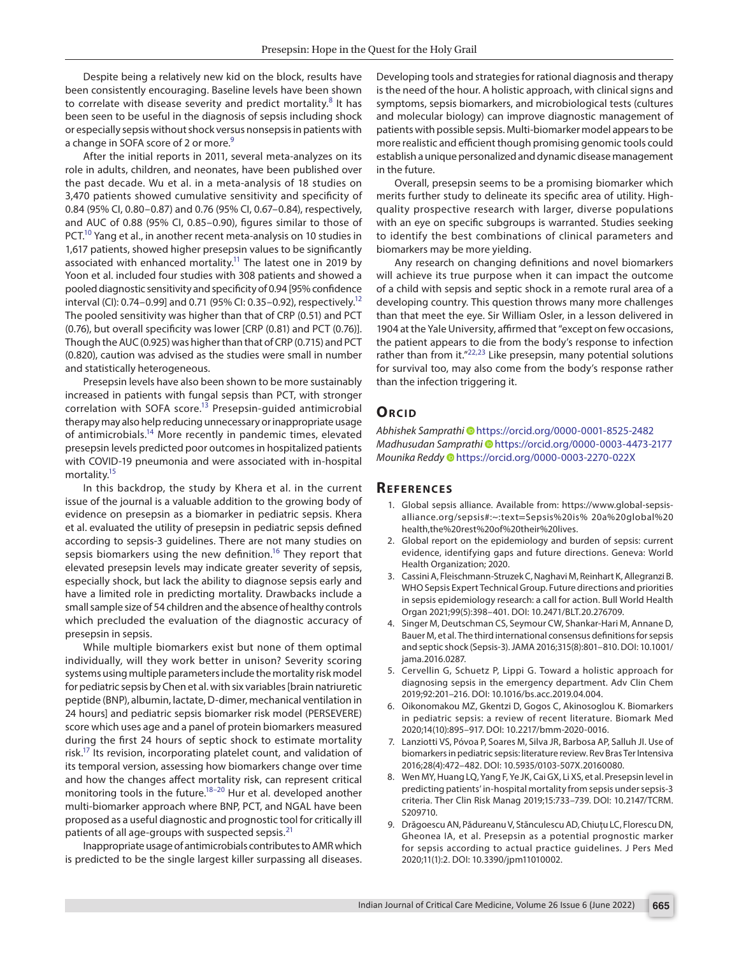Despite being a relatively new kid on the block, results have been consistently encouraging. Baseline levels have been shown to correlate with disease severity and predict mortality. $8$  It has been seen to be useful in the diagnosis of sepsis including shock or especially sepsis without shock versus nonsepsis in patients with a change in SOFA score of 2 or more.<sup>9</sup>

After the initial reports in 2011, several meta-analyzes on its role in adults, children, and neonates, have been published over the past decade. Wu et al. in a meta-analysis of 18 studies on 3,470 patients showed cumulative sensitivity and specificity of 0.84 (95% CI, 0.80–0.87) and 0.76 (95% CI, 0.67–0.84), respectively, and AUC of 0.88 (95% CI, 0.85–0.90), figures similar to those of PCT.<sup>10</sup> Yang et al., in another recent meta-analysis on 10 studies in 1,617 patients, showed higher presepsin values to be significantly associated with enhanced mortality.<sup>11</sup> The latest one in 2019 by Yoon et al. included four studies with 308 patients and showed a pooled diagnostic sensitivity and specificity of 0.94 [95% confidence interval (CI): 0.74–0.99] and 0.71 (95% CI: 0.35–0.92), respectively.<sup>12</sup> The pooled sensitivity was higher than that of CRP (0.51) and PCT (0.76), but overall specificity was lower [CRP (0.81) and PCT (0.76)]. Though the AUC (0.925) was higher than that of CRP (0.715) and PCT (0.820), caution was advised as the studies were small in number and statistically heterogeneous.

Presepsin levels have also been shown to be more sustainably increased in patients with fungal sepsis than PCT, with stronger correlation with SOFA score.<sup>13</sup> Presepsin-guided antimicrobial therapy may also help reducing unnecessary or inappropriate usage of antimicrobials[.14](#page-2-4) More recently in pandemic times, elevated presepsin levels predicted poor outcomes in hospitalized patients with COVID-19 pneumonia and were associated with in-hospital mortality.<sup>15</sup>

In this backdrop, the study by Khera et al. in the current issue of the journal is a valuable addition to the growing body of evidence on presepsin as a biomarker in pediatric sepsis. Khera et al. evaluated the utility of presepsin in pediatric sepsis defined according to sepsis-3 guidelines. There are not many studies on sepsis biomarkers using the new definition.<sup>[16](#page-2-6)</sup> They report that elevated presepsin levels may indicate greater severity of sepsis, especially shock, but lack the ability to diagnose sepsis early and have a limited role in predicting mortality. Drawbacks include a small sample size of 54 children and the absence of healthy controls which precluded the evaluation of the diagnostic accuracy of presepsin in sepsis.

While multiple biomarkers exist but none of them optimal individually, will they work better in unison? Severity scoring systems using multiple parameters include the mortality risk model for pediatric sepsis by Chen et al. with six variables [brain natriuretic peptide (BNP), albumin, lactate, D-dimer, mechanical ventilation in 24 hours] and pediatric sepsis biomarker risk model (PERSEVERE) score which uses age and a panel of protein biomarkers measured during the first 24 hours of septic shock to estimate mortality risk.<sup>17</sup> Its revision, incorporating platelet count, and validation of its temporal version, assessing how biomarkers change over time and how the changes affect mortality risk, can represent critical monitoring tools in the future.<sup>18–[20](#page-2-9)</sup> Hur et al. developed another multi-biomarker approach where BNP, PCT, and NGAL have been proposed as a useful diagnostic and prognostic tool for critically ill patients of all age-groups with suspected sepsis.<sup>[21](#page-2-10)</sup>

Inappropriate usage of antimicrobials contributes to AMR which is predicted to be the single largest killer surpassing all diseases. Developing tools and strategies for rational diagnosis and therapy is the need of the hour. A holistic approach, with clinical signs and symptoms, sepsis biomarkers, and microbiological tests (cultures and molecular biology) can improve diagnostic management of patients with possible sepsis. Multi-biomarker model appears to be more realistic and efficient though promising genomic tools could establish a unique personalized and dynamic disease management in the future.

Overall, presepsin seems to be a promising biomarker which merits further study to delineate its specific area of utility. Highquality prospective research with larger, diverse populations with an eye on specific subgroups is warranted. Studies seeking to identify the best combinations of clinical parameters and biomarkers may be more yielding.

Any research on changing definitions and novel biomarkers will achieve its true purpose when it can impact the outcome of a child with sepsis and septic shock in a remote rural area of a developing country. This question throws many more challenges than that meet the eye. Sir William Osler, in a lesson delivered in 1904 at the Yale University, affirmed that "except on few occasions, the patient appears to die from the body's response to infection rather than from it."<sup>[22](#page-2-11),[23](#page-2-12)</sup> Like presepsin, many potential solutions for survival too, may also come from the body's response rather than the infection triggering it.

## **ORCID**

*Abhishek Samprathi* [h](https://orcid.org/0000-0001-8525-2482)ttps://orcid.org/0000-0001-8525-2482 *Madhusudan Samprath[i](https://orcid.org/0000-0003-4473-2177)* https://orcid.org/0000-0003-4473-2177 *Mounika Redd[y](https://orcid.org/0000-0003-2270-022X)* https://orcid.org/0000-0003-2270-022X

## **Re f er enc es**

- <span id="page-1-0"></span>1. Global sepsis alliance. Available from: https://www.global-sepsisalliance.org/sepsis#:~:text=Sepsis%20is% 20a%20global%20 health,the%20rest%20of%20their%20lives.
- <span id="page-1-1"></span>2. Global report on the epidemiology and burden of sepsis: current evidence, identifying gaps and future directions. Geneva: World Health Organization; 2020.
- <span id="page-1-2"></span>3. Cassini A, Fleischmann-Struzek C, Naghavi M, Reinhart K, Allegranzi B. WHO Sepsis Expert Technical Group. Future directions and priorities in sepsis epidemiology research: a call for action. Bull World Health Organ 2021;99(5):398–401. DOI: 10.2471/BLT.20.276709.
- <span id="page-1-3"></span>4. Singer M, Deutschman CS, Seymour CW, Shankar-Hari M, Annane D, Bauer M, et al. The third international consensus definitions for sepsis and septic shock (Sepsis-3). JAMA 2016;315(8):801–810. DOI: 10.1001/ jama.2016.0287.
- <span id="page-1-4"></span>5. Cervellin G, Schuetz P, Lippi G. Toward a holistic approach for diagnosing sepsis in the emergency department. Adv Clin Chem 2019;92:201–216. DOI: 10.1016/bs.acc.2019.04.004.
- <span id="page-1-5"></span>6. Oikonomakou MZ, Gkentzi D, Gogos C, Akinosoglou K. Biomarkers in pediatric sepsis: a review of recent literature. Biomark Med 2020;14(10):895–917. DOI: 10.2217/bmm-2020-0016.
- <span id="page-1-6"></span>7. Lanziotti VS, Póvoa P, Soares M, Silva JR, Barbosa AP, Salluh JI. Use of biomarkers in pediatric sepsis: literature review. Rev Bras Ter Intensiva 2016;28(4):472–482. DOI: 10.5935/0103-507X.20160080.
- <span id="page-1-7"></span>Wen MY, Huang LQ, Yang F, Ye JK, Cai GX, Li XS, et al. Presepsin level in predicting patients' in-hospital mortality from sepsis under sepsis-3 criteria. Ther Clin Risk Manag 2019;15:733–739. DOI: 10.2147/TCRM. S209710.
- <span id="page-1-8"></span>9. Drăgoescu AN, Pădureanu V, Stănculescu AD, Chiuțu LC, Florescu DN, Gheonea IA, et al. Presepsin as a potential prognostic marker for sepsis according to actual practice guidelines. J Pers Med 2020;11(1):2. DOI: 10.3390/jpm11010002.